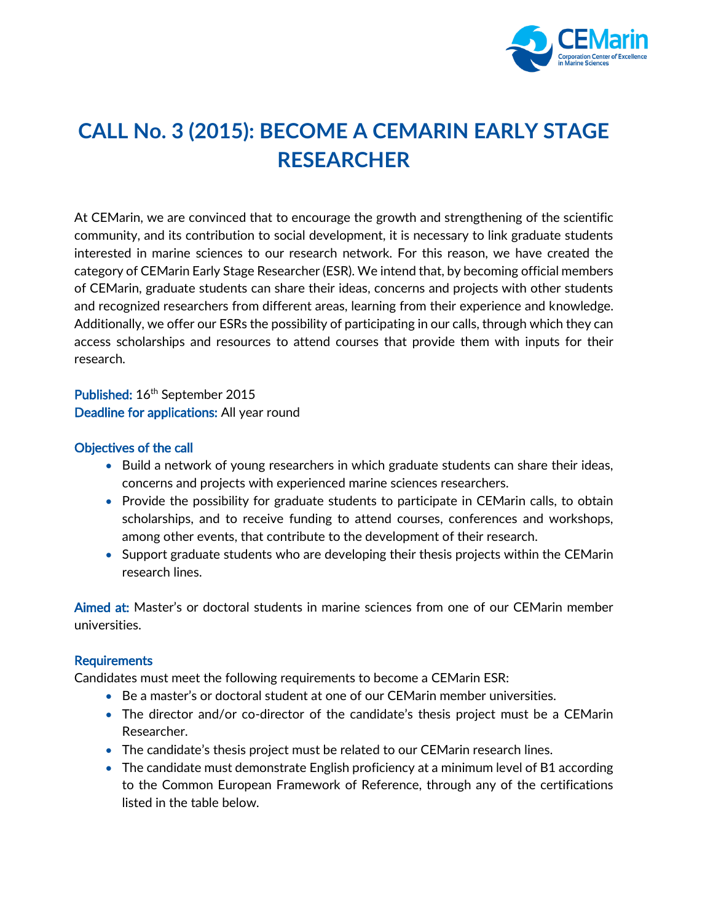

## **CALL No. 3 (2015): BECOME A CEMARIN EARLY STAGE RESEARCHER**

At CEMarin, we are convinced that to encourage the growth and strengthening of the scientific community, and its contribution to social development, it is necessary to link graduate students interested in marine sciences to our research network. For this reason, we have created the category of CEMarin Early Stage Researcher (ESR). We intend that, by becoming official members of CEMarin, graduate students can share their ideas, concerns and projects with other students and recognized researchers from different areas, learning from their experience and knowledge. Additionally, we offer our ESRs the possibility of participating in our calls, through which they can access scholarships and resources to attend courses that provide them with inputs for their research.

Published: 16<sup>th</sup> September 2015 Deadline for applications: All year round

## Objectives of the call

- Build a network of young researchers in which graduate students can share their ideas, concerns and projects with experienced marine sciences researchers.
- Provide the possibility for graduate students to participate in CEMarin calls, to obtain scholarships, and to receive funding to attend courses, conferences and workshops, among other events, that contribute to the development of their research.
- Support graduate students who are developing their thesis projects within the CEMarin research lines.

Aimed at: Master's or doctoral students in marine sciences from one of our CEMarin member universities.

## Requirements

Candidates must meet the following requirements to become a CEMarin ESR:

- Be a master's or doctoral student at one of our CEMarin member universities.
- The director and/or co-director of the candidate's thesis project must be a CEMarin Researcher.
- The candidate's thesis project must be related to our CEMarin research lines.
- The candidate must demonstrate English proficiency at a minimum level of B1 according to the Common European Framework of Reference, through any of the certifications listed in the table below.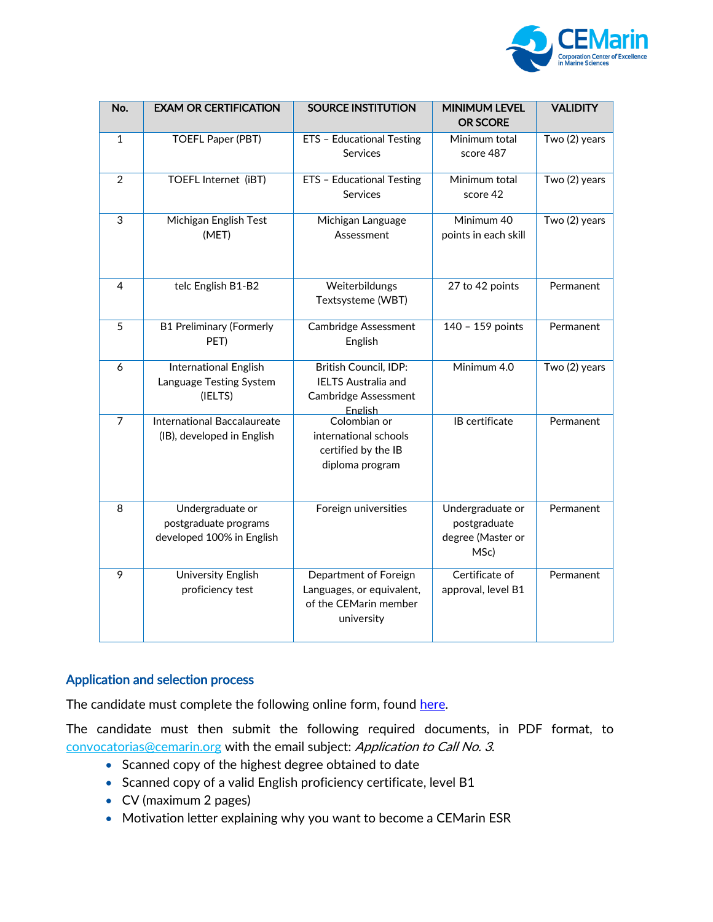

| No.            | <b>EXAM OR CERTIFICATION</b>                                           | <b>SOURCE INSTITUTION</b>                                                                     | <b>MINIMUM LEVEL</b><br><b>OR SCORE</b>                       | <b>VALIDITY</b> |
|----------------|------------------------------------------------------------------------|-----------------------------------------------------------------------------------------------|---------------------------------------------------------------|-----------------|
| $\mathbf{1}$   | <b>TOEFL Paper (PBT)</b>                                               | ETS - Educational Testing<br><b>Services</b>                                                  | Minimum total<br>score 487                                    | Two (2) years   |
| $\overline{2}$ | TOEFL Internet (iBT)                                                   | ETS - Educational Testing<br>Services                                                         | Minimum total<br>score 42                                     | Two (2) years   |
| 3              | Michigan English Test<br>(MET)                                         | Michigan Language<br>Assessment                                                               | Minimum 40<br>points in each skill                            | Two (2) years   |
| 4              | telc English B1-B2                                                     | Weiterbildungs<br>Textsysteme (WBT)                                                           | 27 to 42 points                                               | Permanent       |
| 5              | <b>B1 Preliminary (Formerly</b><br>PET)                                | Cambridge Assessment<br>English                                                               | 140 - 159 points                                              | Permanent       |
| 6              | International English<br>Language Testing System<br>(IELTS)            | British Council, IDP:<br><b>IELTS Australia and</b><br><b>Cambridge Assessment</b><br>English | Minimum 4.0                                                   | Two (2) years   |
| $\overline{7}$ | <b>International Baccalaureate</b><br>(IB), developed in English       | Colombian or<br>international schools<br>certified by the IB<br>diploma program               | <b>IB</b> certificate                                         | Permanent       |
| 8              | Undergraduate or<br>postgraduate programs<br>developed 100% in English | Foreign universities                                                                          | Undergraduate or<br>postgraduate<br>degree (Master or<br>MSc) | Permanent       |
| $\overline{9}$ | University English<br>proficiency test                                 | Department of Foreign<br>Languages, or equivalent,<br>of the CEMarin member<br>university     | Certificate of<br>approval, level B1                          | Permanent       |

## Application and selection process

The candidate must complete the following online form, found [here.](https://forms.gle/ynE7MuNAZVq5uwWk6)

The candidate must then submit the following required documents, in PDF format, to [convocatorias@cemarin.org](mailto:convocatorias@cemarin.org) with the email subject: Application to Call No. 3.

- Scanned copy of the highest degree obtained to date
- Scanned copy of a valid English proficiency certificate, level B1
- CV (maximum 2 pages)
- Motivation letter explaining why you want to become a CEMarin ESR